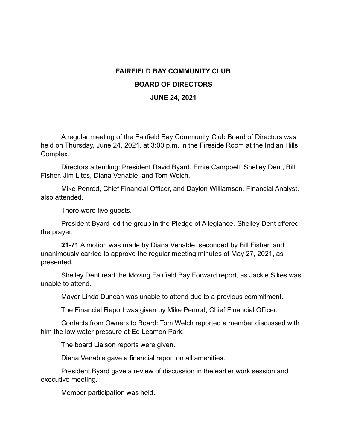## **FAIRFIELD BAY COMMUNITY CLUB BOARD OF DIRECTORS JUNE 24, 2021**

A regular meeting of the Fairfield Bay Community Club Board of Directors was held on Thursday, June 24, 2021, at 3:00 p.m. in the Fireside Room at the Indian Hills Complex.

Directors attending: President David Byard, Ernie Campbell, Shelley Dent, Bill Fisher, Jim Lites, Diana Venable, and Tom Welch.

Mike Penrod, Chief Financial Officer, and Daylon Williamson, Financial Analyst, also attended.

There were five guests.

President Byard led the group in the Pledge of Allegiance. Shelley Dent offered the prayer.

**21-71** A motion was made by Diana Venable, seconded by Bill Fisher, and unanimously carried to approve the regular meeting minutes of May 27, 2021, as presented.

Shelley Dent read the Moving Fairfield Bay Forward report, as Jackie Sikes was unable to attend.

Mayor Linda Duncan was unable to attend due to a previous commitment.

The Financial Report was given by Mike Penrod, Chief Financial Officer.

Contacts from Owners to Board: Tom Welch reported a member discussed with him the low water pressure at Ed Leamon Park.

The board Liaison reports were given.

Diana Venable gave a financial report on all amenities.

President Byard gave a review of discussion in the earlier work session and executive meeting.

Member participation was held.